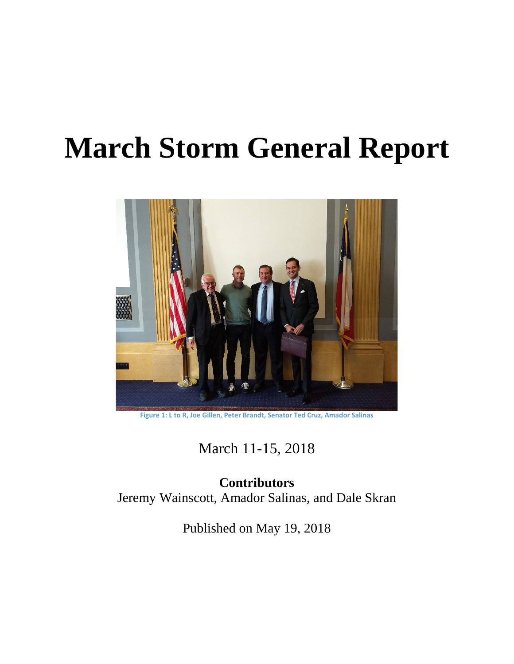# **March Storm General Report**



**Figure 1: L to R, Joe Gillen, Peter Brandt, Senator Ted Cruz, Amador Salinas**

March 11-15, 2018

**Contributors** Jeremy Wainscott, Amador Salinas, and Dale Skran

Published on May 19, 2018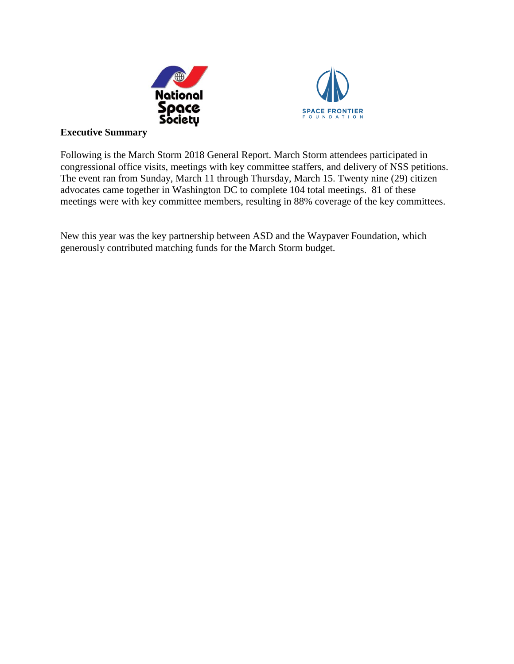



### **Executive Summary**

Following is the March Storm 2018 General Report. March Storm attendees participated in congressional office visits, meetings with key committee staffers, and delivery of NSS petitions. The event ran from Sunday, March 11 through Thursday, March 15. Twenty nine (29) citizen advocates came together in Washington DC to complete 104 total meetings. 81 of these meetings were with key committee members, resulting in 88% coverage of the key committees.

New this year was the key partnership between ASD and the Waypaver Foundation, which generously contributed matching funds for the March Storm budget.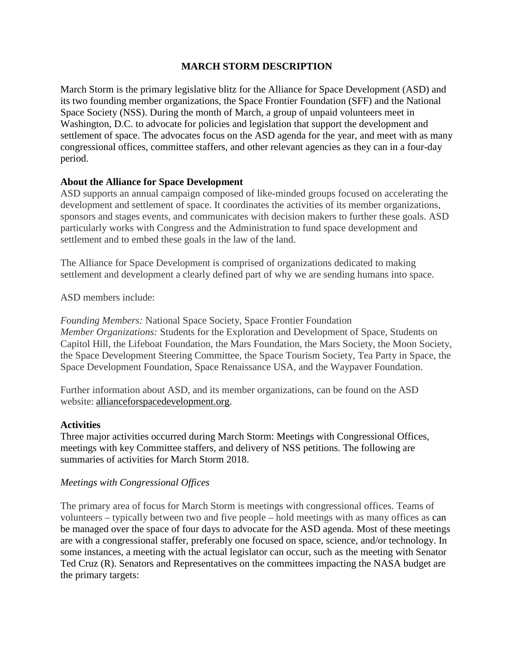# **MARCH STORM DESCRIPTION**

March Storm is the primary legislative blitz for the Alliance for Space Development (ASD) and its two founding member organizations, the Space Frontier Foundation (SFF) and the National Space Society (NSS). During the month of March, a group of unpaid volunteers meet in Washington, D.C. to advocate for policies and legislation that support the development and settlement of space. The advocates focus on the ASD agenda for the year, and meet with as many congressional offices, committee staffers, and other relevant agencies as they can in a four-day period.

# **About the Alliance for Space Development**

ASD supports an annual campaign composed of like-minded groups focused on accelerating the development and settlement of space. It coordinates the activities of its member organizations, sponsors and stages events, and communicates with decision makers to further these goals. ASD particularly works with Congress and the Administration to fund space development and settlement and to embed these goals in the law of the land.

The Alliance for Space Development is comprised of organizations dedicated to making settlement and development a clearly defined part of why we are sending humans into space.

ASD members include:

*Founding Members:* National Space Society, Space Frontier Foundation *Member Organizations:* Students for the Exploration and Development of Space, Students on Capitol Hill, the Lifeboat Foundation, the Mars Foundation, the Mars Society, the Moon Society, the Space Development Steering Committee, the Space Tourism Society, Tea Party in Space, the Space Development Foundation, Space Renaissance USA, and the Waypaver Foundation.

Further information about ASD, and its member organizations, can be found on the ASD website: [allianceforspacedevelopment.org.](http://allianceforspacedevelopment.org/)

#### **Activities**

Three major activities occurred during March Storm: Meetings with Congressional Offices, meetings with key Committee staffers, and delivery of NSS petitions. The following are summaries of activities for March Storm 2018.

#### *Meetings with Congressional Offices*

The primary area of focus for March Storm is meetings with congressional offices. Teams of volunteers – typically between two and five people – hold meetings with as many offices as can be managed over the space of four days to advocate for the ASD agenda. Most of these meetings are with a congressional staffer, preferably one focused on space, science, and/or technology. In some instances, a meeting with the actual legislator can occur, such as the meeting with Senator Ted Cruz (R). Senators and Representatives on the committees impacting the NASA budget are the primary targets: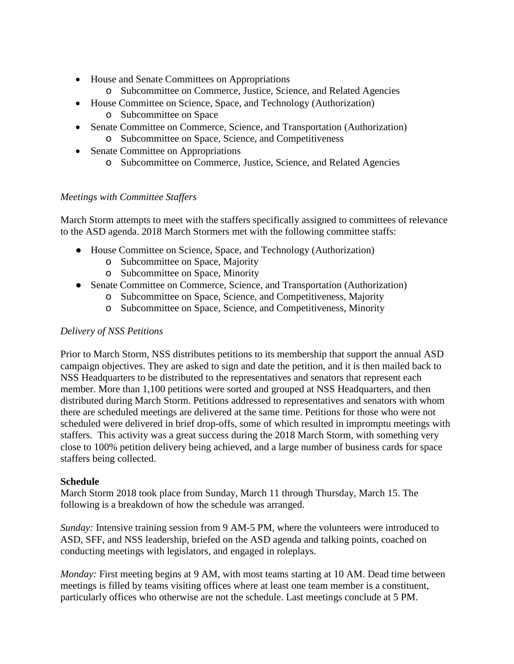- House and Senate Committees on Appropriations
	- o Subcommittee on Commerce, Justice, Science, and Related Agencies
- House Committee on Science, Space, and Technology (Authorization)
	- o Subcommittee on Space
- Senate Committee on Commerce, Science, and Transportation (Authorization) o Subcommittee on Space, Science, and Competitiveness
- Senate Committee on Appropriations o Subcommittee on Commerce, Justice, Science, and Related Agencies

# *Meetings with Committee Staffers*

March Storm attempts to meet with the staffers specifically assigned to committees of relevance to the ASD agenda. 2018 March Stormers met with the following committee staffs:

- House Committee on Science, Space, and Technology (Authorization)
	- o Subcommittee on Space, Majority
	- o Subcommittee on Space, Minority
- Senate Committee on Commerce, Science, and Transportation (Authorization)
	- o Subcommittee on Space, Science, and Competitiveness, Majority
	- o Subcommittee on Space, Science, and Competitiveness, Minority

#### *Delivery of NSS Petitions*

Prior to March Storm, NSS distributes petitions to its membership that support the annual ASD campaign objectives. They are asked to sign and date the petition, and it is then mailed back to NSS Headquarters to be distributed to the representatives and senators that represent each member. More than 1,100 petitions were sorted and grouped at NSS Headquarters, and then distributed during March Storm. Petitions addressed to representatives and senators with whom there are scheduled meetings are delivered at the same time. Petitions for those who were not scheduled were delivered in brief drop-offs, some of which resulted in impromptu meetings with staffers. This activity was a great success during the 2018 March Storm, with something very close to 100% petition delivery being achieved, and a large number of business cards for space staffers being collected.

#### **Schedule**

March Storm 2018 took place from Sunday, March 11 through Thursday, March 15. The following is a breakdown of how the schedule was arranged.

*Sunday:* Intensive training session from 9 AM-5 PM, where the volunteers were introduced to ASD, SFF, and NSS leadership, briefed on the ASD agenda and talking points, coached on conducting meetings with legislators, and engaged in roleplays.

*Monday:* First meeting begins at 9 AM, with most teams starting at 10 AM. Dead time between meetings is filled by teams visiting offices where at least one team member is a constituent, particularly offices who otherwise are not the schedule. Last meetings conclude at 5 PM.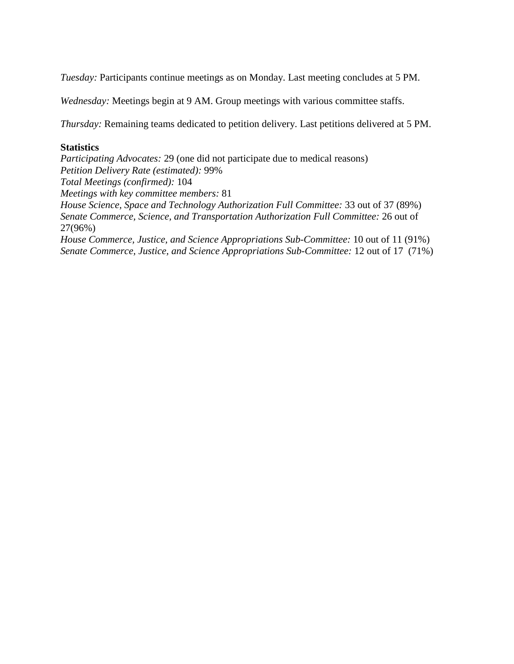*Tuesday:* Participants continue meetings as on Monday. Last meeting concludes at 5 PM.

*Wednesday:* Meetings begin at 9 AM. Group meetings with various committee staffs.

*Thursday:* Remaining teams dedicated to petition delivery. Last petitions delivered at 5 PM.

#### **Statistics**

*Participating Advocates:* 29 (one did not participate due to medical reasons) *Petition Delivery Rate (estimated):* 99% *Total Meetings (confirmed):* 104 *Meetings with key committee members:* 81 *House Science, Space and Technology Authorization Full Committee:* 33 out of 37 (89%) *Senate Commerce, Science, and Transportation Authorization Full Committee:* 26 out of 27(96%) *House Commerce, Justice, and Science Appropriations Sub-Committee:* 10 out of 11 (91%) *Senate Commerce, Justice, and Science Appropriations Sub-Committee:* 12 out of 17 (71%)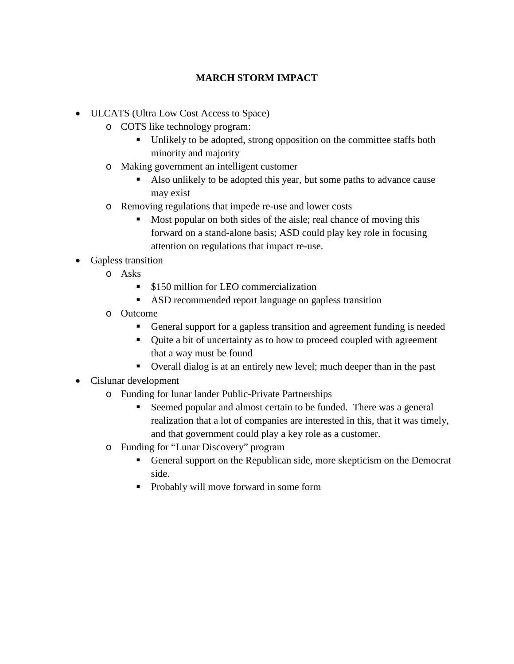# **MARCH STORM IMPACT**

- ULCATS (Ultra Low Cost Access to Space)
	- o COTS like technology program:
		- Unlikely to be adopted, strong opposition on the committee staffs both minority and majority
	- o Making government an intelligent customer
		- Also unlikely to be adopted this year, but some paths to advance cause may exist
	- o Removing regulations that impede re-use and lower costs
		- Most popular on both sides of the aisle; real chance of moving this forward on a stand-alone basis; ASD could play key role in focusing attention on regulations that impact re-use.
- Gapless transition
	- o Asks
		- **S150 million for LEO commercialization**
		- ASD recommended report language on gapless transition
	- o Outcome
		- General support for a gapless transition and agreement funding is needed
		- Quite a bit of uncertainty as to how to proceed coupled with agreement that a way must be found
		- Overall dialog is at an entirely new level; much deeper than in the past
- Cislunar development
	- o Funding for lunar lander Public-Private Partnerships
		- Seemed popular and almost certain to be funded. There was a general realization that a lot of companies are interested in this, that it was timely, and that government could play a key role as a customer.
	- o Funding for "Lunar Discovery" program
		- General support on the Republican side, more skepticism on the Democrat side.
		- Probably will move forward in some form